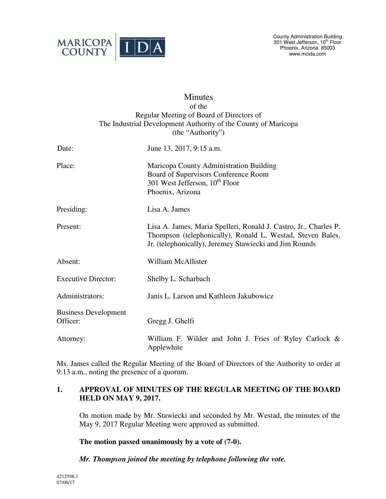

# **Minutes** of the Regular Meeting of Board of Directors of The Industrial Development Authority of the County of Maricopa (the "Authority") Date: June 13, 2017, 9:15 a.m. Place: Maricopa County Administration Building Board of Supervisors Conference Room 301 West Jefferson,  $10^{th}$  Floor Phoenix, Arizona Presiding: Lisa A. James Present: Lisa A. James, Maria Spelleri, Ronald J. Castro, Jr., Charles P. Thompson (telephonically), Ronald L. Westad, Steven Bales, Jr. (telephonically), Jeremey Stawiecki and Jim Rounds Absent: William McAllister Executive Director: Shelby L. Scharbach Administrators: Janis L. Larson and Kathleen Jakubowicz Business Development Officer: Gregg J. Ghelfi Attorney: William F. Wilder and John J. Fries of Ryley Carlock & Applewhite

Ms. James called the Regular Meeting of the Board of Directors of the Authority to order at 9:13 a.m., noting the presence of a quorum.

# **1. APPROVAL OF MINUTES OF THE REGULAR MEETING OF THE BOARD HELD ON MAY 9, 2017.**

On motion made by Mr. Stawiecki and seconded by Mr. Westad, the minutes of the May 9, 2017 Regular Meeting were approved as submitted.

**The motion passed unanimously by a vote of (7-0).** 

 *Mr. Thompson joined the meeting by telephone following the vote.*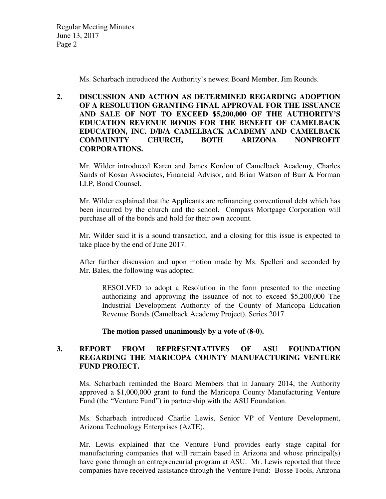Regular Meeting Minutes June 13, 2017 Page 2

Ms. Scharbach introduced the Authority's newest Board Member, Jim Rounds.

## **2. DISCUSSION AND ACTION AS DETERMINED REGARDING ADOPTION OF A RESOLUTION GRANTING FINAL APPROVAL FOR THE ISSUANCE AND SALE OF NOT TO EXCEED \$5,200,000 OF THE AUTHORITY'S EDUCATION REVENUE BONDS FOR THE BENEFIT OF CAMELBACK EDUCATION, INC. D/B/A CAMELBACK ACADEMY AND CAMELBACK COMMUNITY CHURCH, BOTH ARIZONA NONPROFIT CORPORATIONS.**

Mr. Wilder introduced Karen and James Kordon of Camelback Academy, Charles Sands of Kosan Associates, Financial Advisor, and Brian Watson of Burr & Forman LLP, Bond Counsel.

Mr. Wilder explained that the Applicants are refinancing conventional debt which has been incurred by the church and the school. Compass Mortgage Corporation will purchase all of the bonds and hold for their own account.

Mr. Wilder said it is a sound transaction, and a closing for this issue is expected to take place by the end of June 2017.

 After further discussion and upon motion made by Ms. Spelleri and seconded by Mr. Bales, the following was adopted:

RESOLVED to adopt a Resolution in the form presented to the meeting authorizing and approving the issuance of not to exceed \$5,200,000 The Industrial Development Authority of the County of Maricopa Education Revenue Bonds (Camelback Academy Project), Series 2017.

 **The motion passed unanimously by a vote of (8-0).**

## **3. REPORT FROM REPRESENTATIVES OF ASU FOUNDATION REGARDING THE MARICOPA COUNTY MANUFACTURING VENTURE FUND PROJECT.**

Ms. Scharbach reminded the Board Members that in January 2014, the Authority approved a \$1,000,000 grant to fund the Maricopa County Manufacturing Venture Fund (the "Venture Fund") in partnership with the ASU Foundation.

Ms. Scharbach introduced Charlie Lewis, Senior VP of Venture Development, Arizona Technology Enterprises (AzTE).

Mr. Lewis explained that the Venture Fund provides early stage capital for manufacturing companies that will remain based in Arizona and whose principal(s) have gone through an entrepreneurial program at ASU. Mr. Lewis reported that three companies have received assistance through the Venture Fund: Bosse Tools, Arizona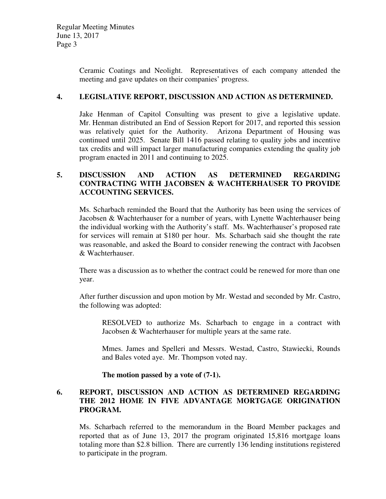Ceramic Coatings and Neolight. Representatives of each company attended the meeting and gave updates on their companies' progress.

# **4. LEGISLATIVE REPORT, DISCUSSION AND ACTION AS DETERMINED.**

Jake Henman of Capitol Consulting was present to give a legislative update. Mr. Henman distributed an End of Session Report for 2017, and reported this session was relatively quiet for the Authority. Arizona Department of Housing was continued until 2025. Senate Bill 1416 passed relating to quality jobs and incentive tax credits and will impact larger manufacturing companies extending the quality job program enacted in 2011 and continuing to 2025.

# **5. DISCUSSION AND ACTION AS DETERMINED REGARDING CONTRACTING WITH JACOBSEN & WACHTERHAUSER TO PROVIDE ACCOUNTING SERVICES.**

Ms. Scharbach reminded the Board that the Authority has been using the services of Jacobsen & Wachterhauser for a number of years, with Lynette Wachterhauser being the individual working with the Authority's staff. Ms. Wachterhauser's proposed rate for services will remain at \$180 per hour. Ms. Scharbach said she thought the rate was reasonable, and asked the Board to consider renewing the contract with Jacobsen & Wachterhauser.

There was a discussion as to whether the contract could be renewed for more than one year.

After further discussion and upon motion by Mr. Westad and seconded by Mr. Castro, the following was adopted:

 RESOLVED to authorize Ms. Scharbach to engage in a contract with Jacobsen & Wachterhauser for multiple years at the same rate.

Mmes. James and Spelleri and Messrs. Westad, Castro, Stawiecki, Rounds and Bales voted aye. Mr. Thompson voted nay.

**The motion passed by a vote of (7-1).** 

## **6. REPORT, DISCUSSION AND ACTION AS DETERMINED REGARDING THE 2012 HOME IN FIVE ADVANTAGE MORTGAGE ORIGINATION PROGRAM.**

Ms. Scharbach referred to the memorandum in the Board Member packages and reported that as of June 13, 2017 the program originated 15,816 mortgage loans totaling more than \$2.8 billion. There are currently 136 lending institutions registered to participate in the program.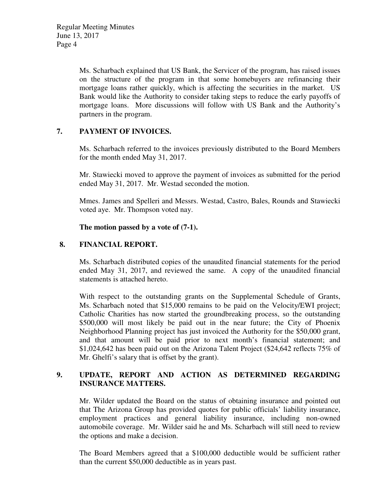Ms. Scharbach explained that US Bank, the Servicer of the program, has raised issues on the structure of the program in that some homebuyers are refinancing their mortgage loans rather quickly, which is affecting the securities in the market. US Bank would like the Authority to consider taking steps to reduce the early payoffs of mortgage loans. More discussions will follow with US Bank and the Authority's partners in the program.

# **7. PAYMENT OF INVOICES.**

Ms. Scharbach referred to the invoices previously distributed to the Board Members for the month ended May 31, 2017.

 Mr. Stawiecki moved to approve the payment of invoices as submitted for the period ended May 31, 2017. Mr. Westad seconded the motion.

Mmes. James and Spelleri and Messrs. Westad, Castro, Bales, Rounds and Stawiecki voted aye. Mr. Thompson voted nay.

## **The motion passed by a vote of (7-1).**

# **8. FINANCIAL REPORT.**

Ms. Scharbach distributed copies of the unaudited financial statements for the period ended May 31, 2017, and reviewed the same. A copy of the unaudited financial statements is attached hereto.

With respect to the outstanding grants on the Supplemental Schedule of Grants, Ms. Scharbach noted that \$15,000 remains to be paid on the Velocity/EWI project; Catholic Charities has now started the groundbreaking process, so the outstanding \$500,000 will most likely be paid out in the near future; the City of Phoenix Neighborhood Planning project has just invoiced the Authority for the \$50,000 grant, and that amount will be paid prior to next month's financial statement; and \$1,024,642 has been paid out on the Arizona Talent Project (\$24,642 reflects 75% of Mr. Ghelfi's salary that is offset by the grant).

# **9. UPDATE, REPORT AND ACTION AS DETERMINED REGARDING INSURANCE MATTERS.**

Mr. Wilder updated the Board on the status of obtaining insurance and pointed out that The Arizona Group has provided quotes for public officials' liability insurance, employment practices and general liability insurance, including non-owned automobile coverage. Mr. Wilder said he and Ms. Scharbach will still need to review the options and make a decision.

The Board Members agreed that a \$100,000 deductible would be sufficient rather than the current \$50,000 deductible as in years past.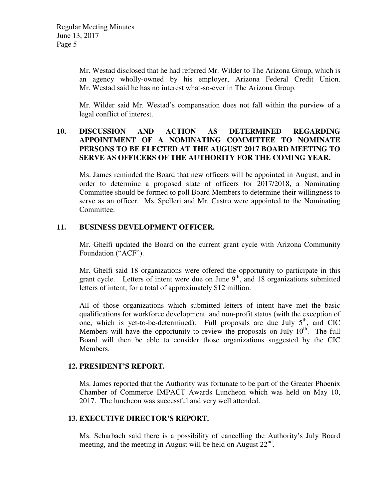Mr. Westad disclosed that he had referred Mr. Wilder to The Arizona Group, which is an agency wholly-owned by his employer, Arizona Federal Credit Union. Mr. Westad said he has no interest what-so-ever in The Arizona Group.

Mr. Wilder said Mr. Westad's compensation does not fall within the purview of a legal conflict of interest.

## **10. DISCUSSION AND ACTION AS DETERMINED REGARDING APPOINTMENT OF A NOMINATING COMMITTEE TO NOMINATE PERSONS TO BE ELECTED AT THE AUGUST 2017 BOARD MEETING TO SERVE AS OFFICERS OF THE AUTHORITY FOR THE COMING YEAR.**

Ms. James reminded the Board that new officers will be appointed in August, and in order to determine a proposed slate of officers for 2017/2018, a Nominating Committee should be formed to poll Board Members to determine their willingness to serve as an officer. Ms. Spelleri and Mr. Castro were appointed to the Nominating Committee.

## **11. BUSINESS DEVELOPMENT OFFICER.**

Mr. Ghelfi updated the Board on the current grant cycle with Arizona Community Foundation ("ACF").

Mr. Ghelfi said 18 organizations were offered the opportunity to participate in this grant cycle. Letters of intent were due on June  $9<sup>th</sup>$ , and 18 organizations submitted letters of intent, for a total of approximately \$12 million.

All of those organizations which submitted letters of intent have met the basic qualifications for workforce development and non-profit status (with the exception of one, which is yet-to-be-determined). Full proposals are due July  $5<sup>th</sup>$ , and CIC Members will have the opportunity to review the proposals on July  $10<sup>th</sup>$ . The full Board will then be able to consider those organizations suggested by the CIC Members.

#### **12. PRESIDENT'S REPORT.**

Ms. James reported that the Authority was fortunate to be part of the Greater Phoenix Chamber of Commerce IMPACT Awards Luncheon which was held on May 10, 2017. The luncheon was successful and very well attended.

#### **13. EXECUTIVE DIRECTOR'S REPORT.**

Ms. Scharbach said there is a possibility of cancelling the Authority's July Board meeting, and the meeting in August will be held on August  $22<sup>nd</sup>$ .